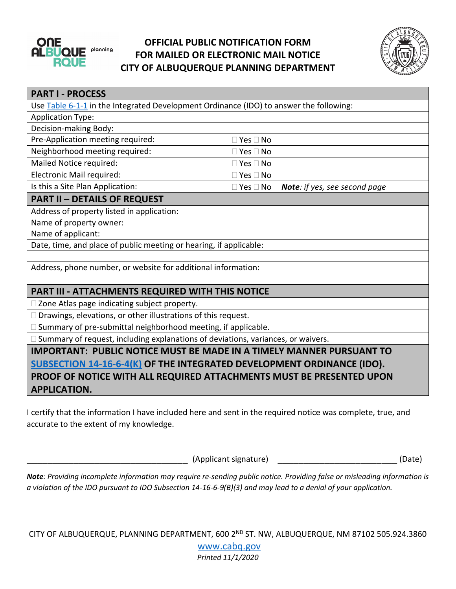

## **OFFICIAL PUBLIC NOTIFICATION FORM FOR MAILED OR ELECTRONIC MAIL NOTICE CITY OF ALBUQUERQUE PLANNING DEPARTMENT**



| <b>PART I - PROCESS</b>                                                                 |                      |                                      |
|-----------------------------------------------------------------------------------------|----------------------|--------------------------------------|
| Use Table 6-1-1 in the Integrated Development Ordinance (IDO) to answer the following:  |                      |                                      |
| <b>Application Type:</b>                                                                |                      |                                      |
| Decision-making Body:                                                                   |                      |                                      |
| Pre-Application meeting required:                                                       | $\Box$ Yes $\Box$ No |                                      |
| Neighborhood meeting required:                                                          | $\Box$ Yes $\Box$ No |                                      |
| Mailed Notice required:                                                                 | $\Box$ Yes $\Box$ No |                                      |
| Electronic Mail required:                                                               | $\Box$ Yes $\Box$ No |                                      |
| Is this a Site Plan Application:                                                        | $\Box$ Yes $\Box$ No | <b>Note:</b> if yes, see second page |
| <b>PART II - DETAILS OF REQUEST</b>                                                     |                      |                                      |
| Address of property listed in application:                                              |                      |                                      |
| Name of property owner:                                                                 |                      |                                      |
| Name of applicant:                                                                      |                      |                                      |
| Date, time, and place of public meeting or hearing, if applicable:                      |                      |                                      |
|                                                                                         |                      |                                      |
| Address, phone number, or website for additional information:                           |                      |                                      |
|                                                                                         |                      |                                      |
| <b>PART III - ATTACHMENTS REQUIRED WITH THIS NOTICE</b>                                 |                      |                                      |
| □ Zone Atlas page indicating subject property.                                          |                      |                                      |
| $\Box$ Drawings, elevations, or other illustrations of this request.                    |                      |                                      |
| □ Summary of pre-submittal neighborhood meeting, if applicable.                         |                      |                                      |
| $\Box$ Summary of request, including explanations of deviations, variances, or waivers. |                      |                                      |
| <b>IMPORTANT: PUBLIC NOTICE MUST BE MADE IN A TIMELY MANNER PURSUANT TO</b>             |                      |                                      |
| SUBSECTION 14-16-6-4(K) OF THE INTEGRATED DEVELOPMENT ORDINANCE (IDO).                  |                      |                                      |
| PROOF OF NOTICE WITH ALL REQUIRED ATTACHMENTS MUST BE PRESENTED UPON                    |                      |                                      |
| <b>APPLICATION.</b>                                                                     |                      |                                      |

I certify that the information I have included here and sent in the required notice was complete, true, and accurate to the extent of my knowledge.

\_\_\_\_\_\_\_\_\_\_\_\_\_\_\_\_\_\_\_\_\_\_\_\_\_\_\_\_\_\_\_ (Applicant signature) \_\_\_\_\_\_\_\_\_\_\_\_\_\_\_\_\_\_\_\_\_\_\_ (Date)

*Note: Providing incomplete information may require re-sending public notice. Providing false or misleading information is a violation of the IDO pursuant to IDO Subsection 14-16-6-9(B)(3) and may lead to a denial of your application.*

CITY OF ALBUQUERQUE, PLANNING DEPARTMENT, 600 2ND ST. NW, ALBUQUERQUE, NM 87102 505.924.3860

[www.cabq.gov](http://www.cabq.gov/) *Printed 11/1/2020*